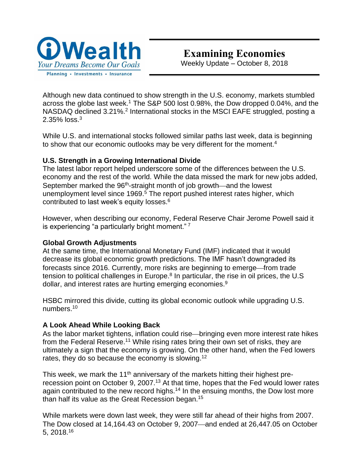

Although new data continued to show strength in the U.S. economy, markets stumbled across the globe last week.<sup>1</sup> The S&P 500 lost 0.98%, the Dow dropped 0.04%, and the NASDAQ declined 3.21%.<sup>2</sup> International stocks in the MSCI EAFE struggled, posting a 2.35% loss. $^3$ 

While U.S. and international stocks followed similar paths last week, data is beginning to show that our economic outlooks may be very different for the moment.<sup>4</sup>

## **U.S. Strength in a Growing International Divide**

The latest labor report helped underscore some of the differences between the U.S. economy and the rest of the world. While the data missed the mark for new jobs added, September marked the 96<sup>th</sup>-straight month of job growth—and the lowest unemployment level since 1969.<sup>5</sup> The report pushed interest rates higher, which contributed to last week's equity losses.<sup>6</sup>

However, when describing our economy, Federal Reserve Chair Jerome Powell said it is experiencing "a particularly bright moment."<sup>7</sup>

## **Global Growth Adjustments**

At the same time, the International Monetary Fund (IMF) indicated that it would decrease its global economic growth predictions. The IMF hasn't downgraded its forecasts since 2016. Currently, more risks are beginning to emerge—from trade tension to political challenges in Europe.<sup>8</sup> In particular, the rise in oil prices, the U.S dollar, and interest rates are hurting emerging economies.<sup>9</sup>

HSBC mirrored this divide, cutting its global economic outlook while upgrading U.S. numbers.<sup>10</sup>

## **A Look Ahead While Looking Back**

As the labor market tightens, inflation could rise—bringing even more interest rate hikes from the Federal Reserve.<sup>11</sup> While rising rates bring their own set of risks, they are ultimately a sign that the economy is growing. On the other hand, when the Fed lowers rates, they do so because the economy is slowing.<sup>12</sup>

This week, we mark the 11<sup>th</sup> anniversary of the markets hitting their highest prerecession point on October 9, 2007.<sup>13</sup> At that time, hopes that the Fed would lower rates again contributed to the new record highs.<sup>14</sup> In the ensuing months, the Dow lost more than half its value as the Great Recession began.<sup>15</sup>

While markets were down last week, they were still far ahead of their highs from 2007. The Dow closed at 14,164.43 on October 9, 2007—and ended at 26,447.05 on October 5, 2018.<sup>16</sup>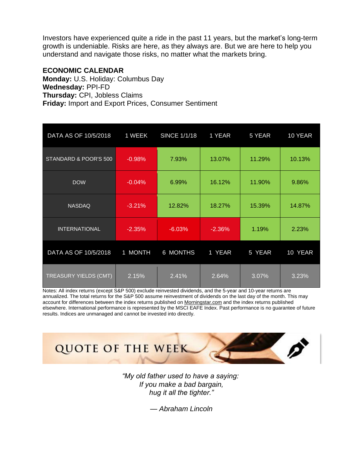Investors have experienced quite a ride in the past 11 years, but the market's long-term growth is undeniable. Risks are here, as they always are. But we are here to help you understand and navigate those risks, no matter what the markets bring.

### **ECONOMIC CALENDAR**

**Monday:** U.S. Holiday: Columbus Day **Wednesday:** PPI-FD **Thursday:** CPI, Jobless Claims **Friday:** Import and Export Prices, Consumer Sentiment

| DATA AS OF 10/5/2018         | 1 WEEK   | <b>SINCE 1/1/18</b> | 1 YEAR   | 5 YEAR | 10 YEAR |
|------------------------------|----------|---------------------|----------|--------|---------|
| STANDARD & POOR'S 500        | $-0.98%$ | 7.93%               | 13.07%   | 11.29% | 10.13%  |
| <b>DOW</b>                   | $-0.04%$ | 6.99%               | 16.12%   | 11.90% | 9.86%   |
| <b>NASDAQ</b>                | $-3.21%$ | 12.82%              | 18.27%   | 15.39% | 14.87%  |
| <b>INTERNATIONAL</b>         | $-2.35%$ | $-6.03%$            | $-2.36%$ | 1.19%  | 2.23%   |
| DATA AS OF 10/5/2018         | 1 MONTH  | <b>6 MONTHS</b>     | 1 YEAR   | 5 YEAR | 10 YEAR |
| <b>TREASURY YIELDS (CMT)</b> | 2.15%    | 2.41%               | 2.64%    | 3.07%  | 3.23%   |

Notes: All index returns (except S&P 500) exclude reinvested dividends, and the 5-year and 10-year returns are annualized. The total returns for the S&P 500 assume reinvestment of dividends on the last day of the month. This may account for differences between the index returns published on [Morningstar.com](http://morningstar.com/) and the index returns published elsewhere. International performance is represented by the MSCI EAFE Index. Past performance is no guarantee of future results. Indices are unmanaged and cannot be invested into directly.



*"My old father used to have a saying: If you make a bad bargain, hug it all the tighter."* 

*— Abraham Lincoln*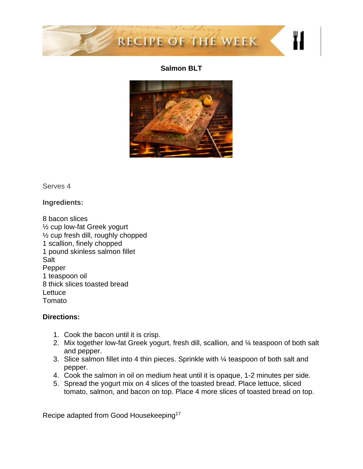

## **Salmon BLT**



Serves 4

**Ingredients:**

8 bacon slices ½ cup low-fat Greek yogurt ½ cup fresh dill, roughly chopped 1 scallion, finely chopped 1 pound skinless salmon fillet Salt Pepper 1 teaspoon oil 8 thick slices toasted bread **Lettuce** Tomato

## **Directions:**

- 1. Cook the bacon until it is crisp.
- 2. Mix together low-fat Greek yogurt, fresh dill, scallion, and 1/4 teaspoon of both salt and pepper.
- 3. Slice salmon fillet into 4 thin pieces. Sprinkle with ¼ teaspoon of both salt and pepper.
- 4. Cook the salmon in oil on medium heat until it is opaque, 1-2 minutes per side.
- 5. Spread the yogurt mix on 4 slices of the toasted bread. Place lettuce, sliced tomato, salmon, and bacon on top. Place 4 more slices of toasted bread on top.

Recipe adapted from Good Housekeeping<sup>17</sup>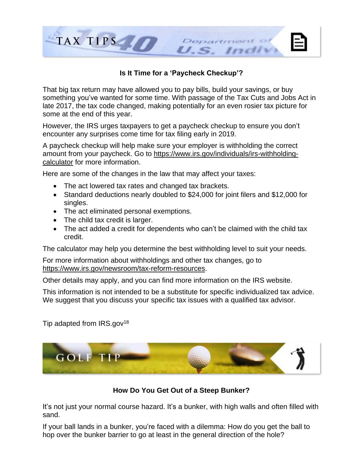

## **Is It Time for a 'Paycheck Checkup'?**

That big tax return may have allowed you to pay bills, build your savings, or buy something you've wanted for some time. With passage of the Tax Cuts and Jobs Act in late 2017, the tax code changed, making potentially for an even rosier tax picture for some at the end of this year.

However, the IRS urges taxpayers to get a paycheck checkup to ensure you don't encounter any surprises come time for tax filing early in 2019.

A paycheck checkup will help make sure your employer is withholding the correct amount from your paycheck. Go to [https://www.irs.gov/individuals/irs-withholding](https://www.irs.gov/individuals/irs-withholding-calculator)[calculator](https://www.irs.gov/individuals/irs-withholding-calculator) for more information.

Here are some of the changes in the law that may affect your taxes:

- The act lowered tax rates and changed tax brackets.
- Standard deductions nearly doubled to \$24,000 for joint filers and \$12,000 for singles.
- The act eliminated personal exemptions.
- The child tax credit is larger.
- The act added a credit for dependents who can't be claimed with the child tax credit.

The calculator may help you determine the best withholding level to suit your needs.

For more information about withholdings and other tax changes, go to [https://www.irs.gov/newsroom/tax-reform-resources.](https://www.irs.gov/newsroom/tax-reform-resources)

Other details may apply, and you can find more information on the IRS website.

This information is not intended to be a substitute for specific individualized tax advice. We suggest that you discuss your specific tax issues with a qualified tax advisor.

Tip adapted from  $IRS.gov^{18}$ 



**How Do You Get Out of a Steep Bunker?**

It's not just your normal course hazard. It's a bunker, with high walls and often filled with sand.

If your ball lands in a bunker, you're faced with a dilemma: How do you get the ball to hop over the bunker barrier to go at least in the general direction of the hole?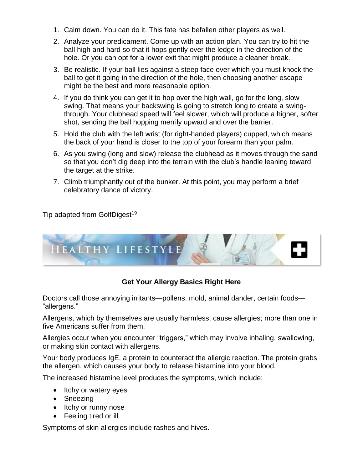- 1. Calm down. You can do it. This fate has befallen other players as well.
- 2. Analyze your predicament. Come up with an action plan. You can try to hit the ball high and hard so that it hops gently over the ledge in the direction of the hole. Or you can opt for a lower exit that might produce a cleaner break.
- 3. Be realistic. If your ball lies against a steep face over which you must knock the ball to get it going in the direction of the hole, then choosing another escape might be the best and more reasonable option.
- 4. If you do think you can get it to hop over the high wall, go for the long, slow swing. That means your backswing is going to stretch long to create a swingthrough. Your clubhead speed will feel slower, which will produce a higher, softer shot, sending the ball hopping merrily upward and over the barrier.
- 5. Hold the club with the left wrist (for right-handed players) cupped, which means the back of your hand is closer to the top of your forearm than your palm.
- 6. As you swing (long and slow) release the clubhead as it moves through the sand so that you don't dig deep into the terrain with the club's handle leaning toward the target at the strike.
- 7. Climb triumphantly out of the bunker. At this point, you may perform a brief celebratory dance of victory.

Tip adapted from GolfDigest<sup>19</sup>



# **Get Your Allergy Basics Right Here**

Doctors call those annoying irritants—pollens, mold, animal dander, certain foods— "allergens."

Allergens, which by themselves are usually harmless, cause allergies; more than one in five Americans suffer from them.

Allergies occur when you encounter "triggers," which may involve inhaling, swallowing, or making skin contact with allergens.

Your body produces IgE, a protein to counteract the allergic reaction. The protein grabs the allergen, which causes your body to release histamine into your blood.

The increased histamine level produces the symptoms, which include:

- Itchy or watery eyes
- Sneezing
- Itchy or runny nose
- Feeling tired or ill

Symptoms of skin allergies include rashes and hives.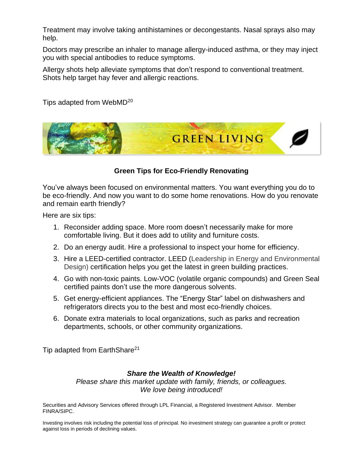Treatment may involve taking antihistamines or decongestants. Nasal sprays also may help.

Doctors may prescribe an inhaler to manage allergy-induced asthma, or they may inject you with special antibodies to reduce symptoms.

Allergy shots help alleviate symptoms that don't respond to conventional treatment. Shots help target hay fever and allergic reactions.

Tips adapted from WebMD<sup>20</sup>



## **Green Tips for Eco-Friendly Renovating**

You've always been focused on environmental matters. You want everything you do to be eco-friendly. And now you want to do some home renovations. How do you renovate and remain earth friendly?

Here are six tips:

- 1. Reconsider adding space. More room doesn't necessarily make for more comfortable living. But it does add to utility and furniture costs.
- 2. Do an energy audit. Hire a professional to inspect your home for efficiency.
- 3. Hire a LEED-certified contractor. LEED (Leadership in Energy and Environmental Design) certification helps you get the latest in green building practices.
- 4. Go with non-toxic paints. Low-VOC (volatile organic compounds) and Green Seal certified paints don't use the more dangerous solvents.
- 5. Get energy-efficient appliances. The "Energy Star" label on dishwashers and refrigerators directs you to the best and most eco-friendly choices.
- 6. Donate extra materials to local organizations, such as parks and recreation departments, schools, or other community organizations.

Tip adapted from EarthShare<sup>21</sup>

## *Share the Wealth of Knowledge!*

*Please share this market update with family, friends, or colleagues. We love being introduced!*

Securities and Advisory Services offered through LPL Financial, a Registered Investment Advisor. Member FINRA/SIPC.

Investing involves risk including the potential loss of principal. No investment strategy can guarantee a profit or protect against loss in periods of declining values.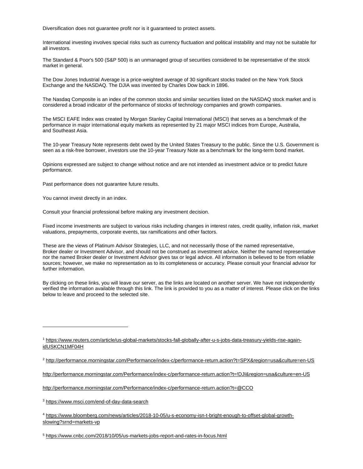Diversification does not guarantee profit nor is it guaranteed to protect assets.

International investing involves special risks such as currency fluctuation and political instability and may not be suitable for all investors.

The Standard & Poor's 500 (S&P 500) is an unmanaged group of securities considered to be representative of the stock market in general.

The Dow Jones Industrial Average is a price-weighted average of 30 significant stocks traded on the New York Stock Exchange and the NASDAQ. The DJIA was invented by Charles Dow back in 1896.

The Nasdaq Composite is an index of the common stocks and similar securities listed on the NASDAQ stock market and is considered a broad indicator of the performance of stocks of technology companies and growth companies.

The MSCI EAFE Index was created by Morgan Stanley Capital International (MSCI) that serves as a benchmark of the performance in major international equity markets as represented by 21 major MSCI indices from Europe, Australia, and Southeast Asia.

The 10-year Treasury Note represents debt owed by the United States Treasury to the public. Since the U.S. Government is seen as a risk-free borrower, investors use the 10-year Treasury Note as a benchmark for the long-term bond market.

Opinions expressed are subject to change without notice and are not intended as investment advice or to predict future performance.

Past performance does not guarantee future results.

You cannot invest directly in an index.

Consult your financial professional before making any investment decision.

Fixed income investments are subject to various risks including changes in interest rates, credit quality, inflation risk, market valuations, prepayments, corporate events, tax ramifications and other factors.

These are the views of Platinum Advisor Strategies, LLC, and not necessarily those of the named representative, Broker dealer or Investment Advisor, and should not be construed as investment advice. Neither the named representative nor the named Broker dealer or Investment Advisor gives tax or legal advice. All information is believed to be from reliable sources; however, we make no representation as to its completeness or accuracy. Please consult your financial advisor for further information.

By clicking on these links, you will leave our server, as the links are located on another server. We have not independently verified the information available through this link. The link is provided to you as a matter of interest. Please click on the links below to leave and proceed to the selected site.

<sup>1</sup> [https://www.reuters.com/article/us-global-markets/stocks-fall-globally-after-u-s-jobs-data-treasury-yields-rise-again](https://www.reuters.com/article/us-global-markets/stocks-fall-globally-after-u-s-jobs-data-treasury-yields-rise-again-idUSKCN1MF04H)[idUSKCN1MF04H](https://www.reuters.com/article/us-global-markets/stocks-fall-globally-after-u-s-jobs-data-treasury-yields-rise-again-idUSKCN1MF04H)

<sup>2</sup> [http://performance.morningstar.com/Performance/index-c/performance-return.action?t=SPX&region=usa&culture=en-US](http://performance.morningstar.com/Performance/index-c/performance-return.action?t=SPX®ion=usa&culture=en-US)

[http://performance.morningstar.com/Performance/index-c/performance-return.action?t=!DJI&region=usa&culture=en-US](http://performance.morningstar.com/Performance/index-c/performance-return.action?t=!DJI®ion=usa&culture=en-US)

<http://performance.morningstar.com/Performance/index-c/performance-return.action?t=@CCO>

<sup>3</sup> <https://www.msci.com/end-of-day-data-search>

 $\overline{a}$ 

<sup>4</sup> [https://www.bloomberg.com/news/articles/2018-10-05/u-s-economy-isn-t-bright-enough-to-offset-global-growth](https://www.bloomberg.com/news/articles/2018-10-05/u-s-economy-isn-t-bright-enough-to-offset-global-growth-slowing?srnd=markets-vp)[slowing?srnd=markets-vp](https://www.bloomberg.com/news/articles/2018-10-05/u-s-economy-isn-t-bright-enough-to-offset-global-growth-slowing?srnd=markets-vp)

<sup>5</sup> <https://www.cnbc.com/2018/10/05/us-markets-jobs-report-and-rates-in-focus.html>